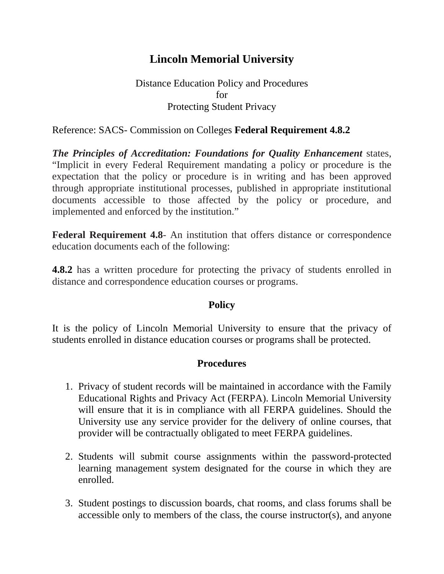# **Lincoln Memorial University**

## Distance Education Policy and Procedures for Protecting Student Privacy

### Reference: SACS- Commission on Colleges **Federal Requirement 4.8.2**

*The Principles of Accreditation: Foundations for Quality Enhancement* states, "Implicit in every Federal Requirement mandating a policy or procedure is the expectation that the policy or procedure is in writing and has been approved through appropriate institutional processes, published in appropriate institutional documents accessible to those affected by the policy or procedure, and implemented and enforced by the institution."

**Federal Requirement 4.8**- An institution that offers distance or correspondence education documents each of the following:

**4.8.2** has a written procedure for protecting the privacy of students enrolled in distance and correspondence education courses or programs.

### **Policy**

It is the policy of Lincoln Memorial University to ensure that the privacy of students enrolled in distance education courses or programs shall be protected.

### **Procedures**

- 1. Privacy of student records will be maintained in accordance with the Family Educational Rights and Privacy Act (FERPA). Lincoln Memorial University will ensure that it is in compliance with all FERPA guidelines. Should the University use any service provider for the delivery of online courses, that provider will be contractually obligated to meet FERPA guidelines.
- 2. Students will submit course assignments within the password-protected learning management system designated for the course in which they are enrolled.
- 3. Student postings to discussion boards, chat rooms, and class forums shall be accessible only to members of the class, the course instructor(s), and anyone